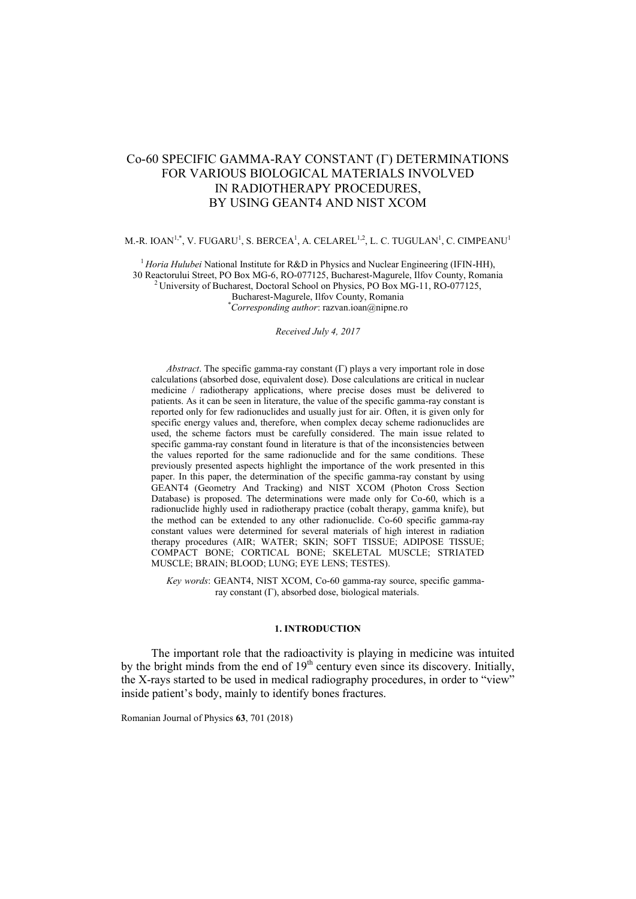# Co-60 SPECIFIC GAMMA-RAY CONSTANT ( $\Gamma$ ) DETERMINATIONS FOR VARIOUS BIOLOGICAL MATERIALS INVOLVED IN RADIOTHERAPY PROCEDURES, BY USING GEANT4 AND NIST XCOM

## M.-R. IOAN $^{1,*}$ , V. FUGARU $^{1}$ , S. BERCEA $^{1}$ , A. CELAREL $^{1,2}$ , L. C. TUGULAN $^{1}$ , C. CIMPEANU $^{1}$

<sup>1</sup> *Horia Hulubei* National Institute for R&D in Physics and Nuclear Engineering (IFIN-HH), 30 Reactorului Street, PO Box MG-6, RO-077125, Bucharest-Magurele, Ilfov County, Romania

<sup>2</sup> University of Bucharest, Doctoral School on Physics, PO Box MG-11, RO-077125,

Bucharest-Magurele, Ilfov County, Romania

\**Corresponding author*: [razvan.ioan@nipne.ro](mailto:razvan.ioan@nipne.ro)

#### *Received July 4, 2017*

*Abstract*. The specific gamma-ray constant  $(\Gamma)$  plays a very important role in dose calculations (absorbed dose, equivalent dose). Dose calculations are critical in nuclear medicine / radiotherapy applications, where precise doses must be delivered to patients. As it can be seen in literature, the value of the specific gamma-ray constant is reported only for few radionuclides and usually just for air. Often, it is given only for specific energy values and, therefore, when complex decay scheme radionuclides are used, the scheme factors must be carefully considered. The main issue related to specific gamma-ray constant found in literature is that of the inconsistencies between the values reported for the same radionuclide and for the same conditions. These previously presented aspects highlight the importance of the work presented in this paper. In this paper, the determination of the specific gamma-ray constant by using GEANT4 (Geometry And Tracking) and NIST XCOM (Photon Cross Section Database) is proposed. The determinations were made only for Co-60, which is a radionuclide highly used in radiotherapy practice (cobalt therapy, gamma knife), but the method can be extended to any other radionuclide. Co-60 specific gamma-ray constant values were determined for several materials of high interest in radiation therapy procedures (AIR; WATER; SKIN; SOFT TISSUE; ADIPOSE TISSUE; COMPACT BONE; CORTICAL BONE; SKELETAL MUSCLE; STRIATED MUSCLE; BRAIN; BLOOD; LUNG; EYE LENS; TESTES).

*Key words*: GEANT4, NIST XCOM, Co-60 gamma-ray source, specific gammaray constant  $(\Gamma)$ , absorbed dose, biological materials.

#### **1. INTRODUCTION**

The important role that the radioactivity is playing in medicine was intuited by the bright minds from the end of  $19<sup>th</sup>$  century even since its discovery. Initially, the X-rays started to be used in medical radiography procedures, in order to "view" inside patient's body, mainly to identify bones fractures.

Romanian Journal of Physics **63**, 701 (2018)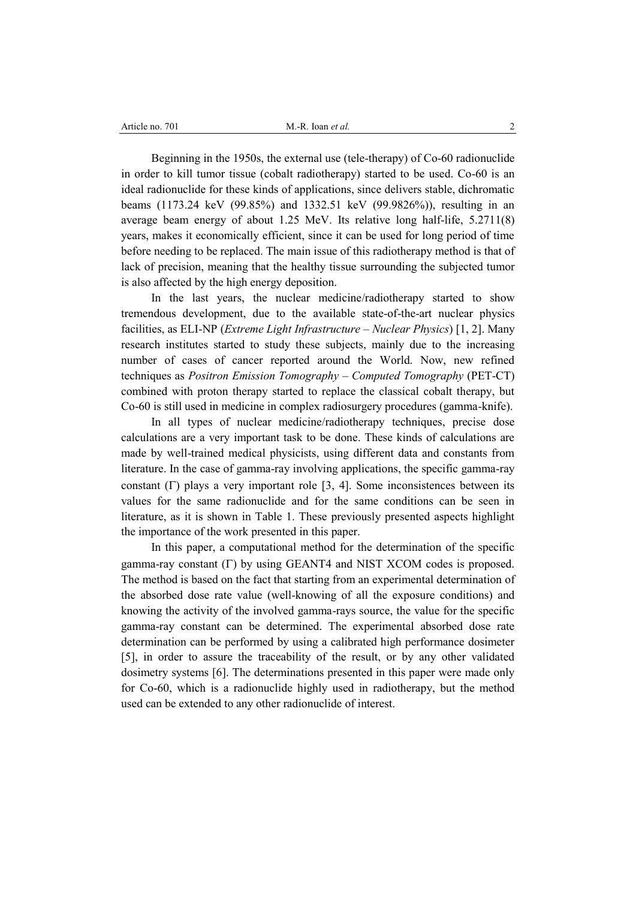Beginning in the 1950s, the external use (tele-therapy) of Co-60 radionuclide in order to kill tumor tissue (cobalt radiotherapy) started to be used. Co-60 is an ideal radionuclide for these kinds of applications, since delivers stable, dichromatic beams (1173.24 keV (99.85%) and 1332.51 keV (99.9826%)), resulting in an average beam energy of about 1.25 MeV. Its relative long half-life, 5.2711(8) years, makes it economically efficient, since it can be used for long period of time before needing to be replaced. The main issue of this radiotherapy method is that of lack of precision, meaning that the healthy tissue surrounding the subjected tumor is also affected by the high energy deposition.

In the last years, the nuclear medicine/radiotherapy started to show tremendous development, due to the available state-of-the-art nuclear physics facilities, as ELI-NP (*Extreme Light Infrastructure* – *Nuclear Physics*) [1, 2]. Many research institutes started to study these subjects, mainly due to the increasing number of cases of cancer reported around the World. Now, new refined techniques as *Positron Emission Tomography* – *Computed Tomography* (PET-CT) combined with proton therapy started to replace the classical cobalt therapy, but Co-60 is still used in medicine in complex radiosurgery procedures (gamma-knife).

In all types of nuclear medicine/radiotherapy techniques, precise dose calculations are a very important task to be done. These kinds of calculations are made by well-trained medical physicists, using different data and constants from literature. In the case of gamma-ray involving applications, the specific gamma-ray constant  $(\Gamma)$  plays a very important role [3, 4]. Some inconsistences between its values for the same radionuclide and for the same conditions can be seen in literature, as it is shown in Table 1. These previously presented aspects highlight the importance of the work presented in this paper.

In this paper, a computational method for the determination of the specific gamma-ray constant  $(\Gamma)$  by using GEANT4 and NIST XCOM codes is proposed. The method is based on the fact that starting from an experimental determination of the absorbed dose rate value (well-knowing of all the exposure conditions) and knowing the activity of the involved gamma-rays source, the value for the specific gamma-ray constant can be determined. The experimental absorbed dose rate determination can be performed by using a calibrated high performance dosimeter [5], in order to assure the traceability of the result, or by any other validated dosimetry systems [6]. The determinations presented in this paper were made only for Co-60, which is a radionuclide highly used in radiotherapy, but the method used can be extended to any other radionuclide of interest.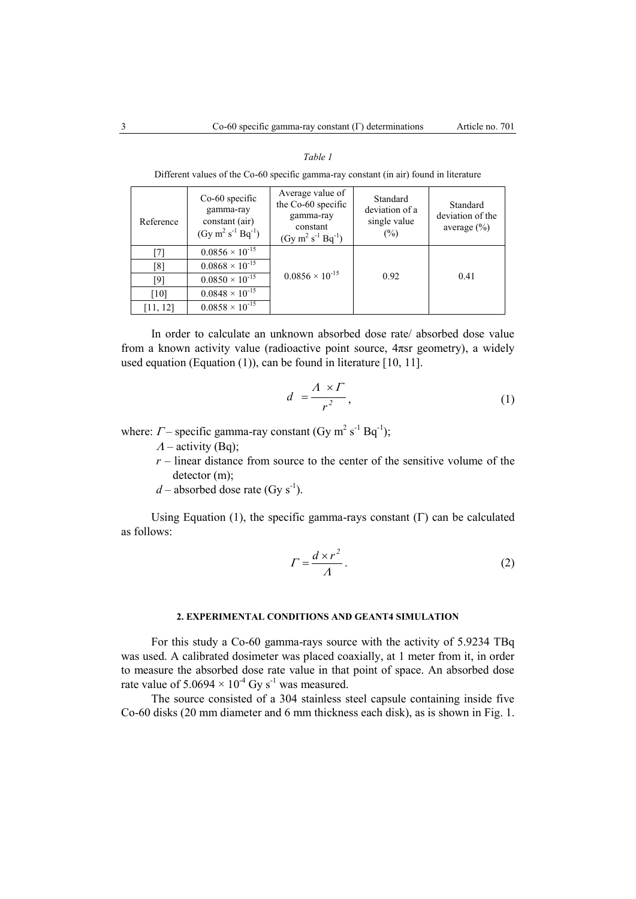### *Table 1*

Different values of the Co-60 specific gamma-ray constant (in air) found in literature

| Reference | $Co-60$ specific<br>gamma-ray<br>constant (air)<br>$(Gy \text{ m}^2 \text{ s}^{-1} \text{ Bq}^{-1})$ | Average value of<br>the Co-60 specific<br>gamma-ray<br>constant<br>$(Gy \, m^2 \, s^{-1} \, Bq^{-1})$ | Standard<br>deviation of a<br>single value<br>$\frac{0}{0}$ | Standard<br>deviation of the<br>average $(\% )$ |
|-----------|------------------------------------------------------------------------------------------------------|-------------------------------------------------------------------------------------------------------|-------------------------------------------------------------|-------------------------------------------------|
| $[7]$     | $0.0856 \times 10^{-15}$                                                                             |                                                                                                       | 0.92                                                        | 0.41                                            |
| [8]       | $0.0868 \times 10^{-15}$                                                                             |                                                                                                       |                                                             |                                                 |
| [9]       | $0.0850 \times 10^{-15}$                                                                             | $0.0856 \times 10^{-15}$                                                                              |                                                             |                                                 |
| $[10]$    | $0.0848 \times 10^{-15}$                                                                             |                                                                                                       |                                                             |                                                 |
| [11, 12]  | $0.0858 \times 10^{-15}$                                                                             |                                                                                                       |                                                             |                                                 |

In order to calculate an unknown absorbed dose rate/ absorbed dose value from a known activity value (radioactive point source, 4πsr geometry), a widely used equation (Equation (1)), can be found in literature [10, 11].

$$
d = \frac{A \times \Gamma}{r^2},\tag{1}
$$

where:  $\Gamma$  – specific gamma-ray constant (Gy m<sup>2</sup> s<sup>-1</sup> Bq<sup>-1</sup>);

- $\Lambda$  activity (Bq);
- $r$  linear distance from source to the center of the sensitive volume of the detector (m);
- $d$  absorbed dose rate (Gy s<sup>-1</sup>).

Using Equation (1), the specific gamma-rays constant  $(\Gamma)$  can be calculated as follows:

$$
\Gamma = \frac{d \times r^2}{A} \,. \tag{2}
$$

#### **2. EXPERIMENTAL CONDITIONS AND GEANT4 SIMULATION**

For this study a Co-60 gamma-rays source with the activity of 5.9234 TBq was used. A calibrated dosimeter was placed coaxially, at 1 meter from it, in order to measure the absorbed dose rate value in that point of space. An absorbed dose rate value of  $5.0694 \times 10^{-4}$  Gy s<sup>-1</sup> was measured.

The source consisted of a 304 stainless steel capsule containing inside five Co-60 disks (20 mm diameter and 6 mm thickness each disk), as is shown in Fig. 1.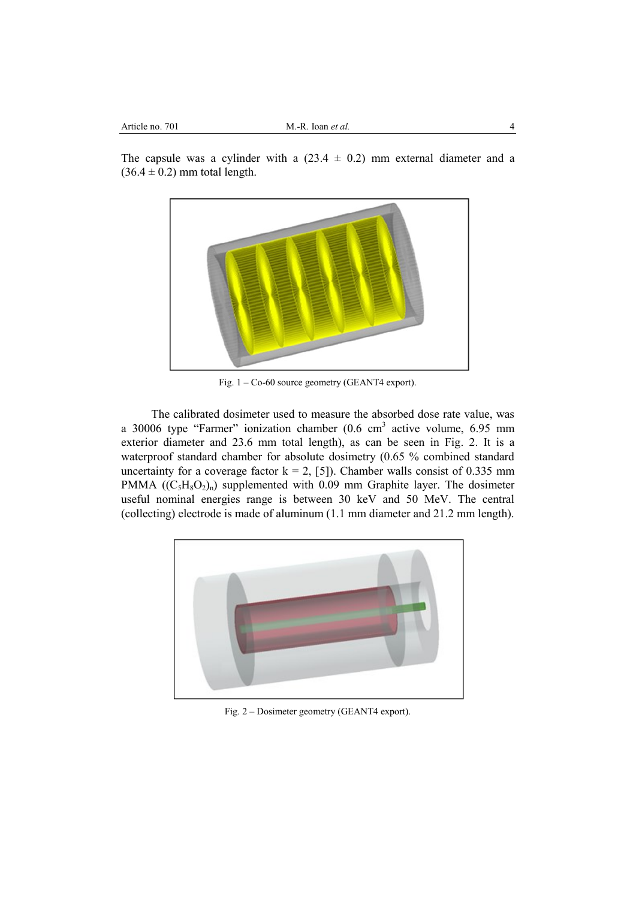The capsule was a cylinder with a  $(23.4 \pm 0.2)$  mm external diameter and a  $(36.4 \pm 0.2)$  mm total length.



Fig. 1 – Co-60 source geometry (GEANT4 export).

The calibrated dosimeter used to measure the absorbed dose rate value, was a 30006 type "Farmer" ionization chamber  $(0.6 \text{ cm}^3 \text{ active volume}, 6.95 \text{ mm})$ exterior diameter and 23.6 mm total length), as can be seen in Fig. 2. It is a waterproof standard chamber for absolute dosimetry (0.65 % combined standard uncertainty for a coverage factor  $k = 2$ , [5]). Chamber walls consist of 0.335 mm PMMA  $((C_5H_8O_2)_n)$  supplemented with 0.09 mm Graphite layer. The dosimeter useful nominal energies range is between 30 keV and 50 MeV. The central (collecting) electrode is made of aluminum (1.1 mm diameter and 21.2 mm length).



Fig. 2 – Dosimeter geometry (GEANT4 export).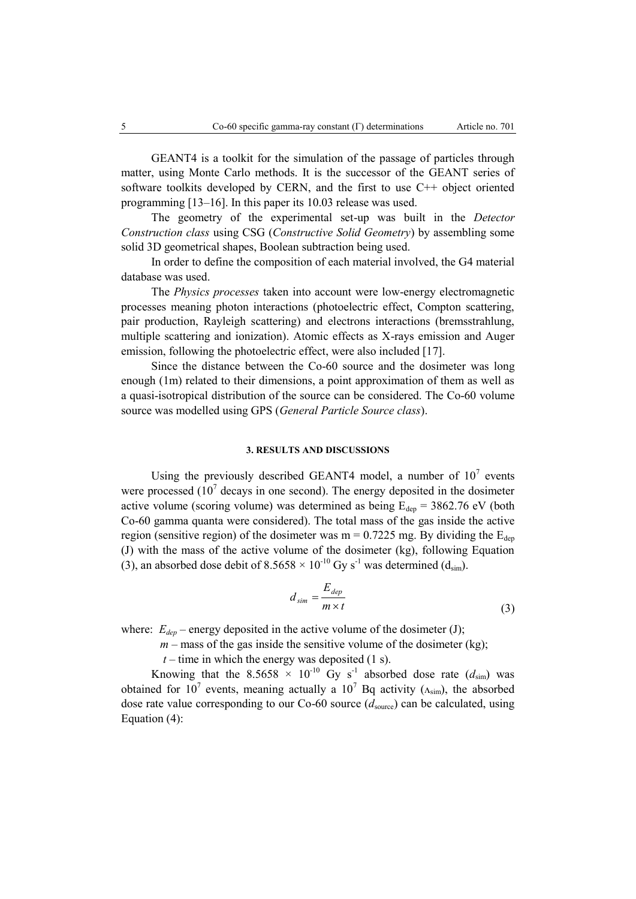GEANT4 is a toolkit for the simulation of the passage of particles through matter, using Monte Carlo methods. It is the successor of the GEANT series of software toolkits developed by CERN, and the first to use C++ object oriented programming [13–16]. In this paper its 10.03 release was used.

The geometry of the experimental set-up was built in the *Detector Construction class* using CSG (*Constructive Solid Geometry*) by assembling some solid 3D geometrical shapes, Boolean subtraction being used.

In order to define the composition of each material involved, the G4 material database was used.

The *Physics processes* taken into account were low-energy electromagnetic processes meaning photon interactions (photoelectric effect, Compton scattering, pair production, Rayleigh scattering) and electrons interactions (bremsstrahlung, multiple scattering and ionization). Atomic effects as X-rays emission and Auger emission, following the photoelectric effect, were also included [17].

Since the distance between the Co-60 source and the dosimeter was long enough (1m) related to their dimensions, a point approximation of them as well as a quasi-isotropical distribution of the source can be considered. The Co-60 volume source was modelled using GPS (*General Particle Source class*).

## **3. RESULTS AND DISCUSSIONS**

Using the previously described GEANT4 model, a number of  $10<sup>7</sup>$  events were processed  $(10<sup>7</sup>$  decays in one second). The energy deposited in the dosimeter active volume (scoring volume) was determined as being  $E_{dep} = 3862.76$  eV (both Co-60 gamma quanta were considered). The total mass of the gas inside the active region (sensitive region) of the dosimeter was  $m = 0.7225$  mg. By dividing the  $E_{den}$ (J) with the mass of the active volume of the dosimeter (kg), following Equation (3), an absorbed dose debit of  $8.5658 \times 10^{-10}$  Gy s<sup>-1</sup> was determined (d<sub>sim</sub>).

$$
d_{sim} = \frac{E_{dep}}{m \times t}
$$
 (3)

where:  $E_{dep}$  – energy deposited in the active volume of the dosimeter (J);

 $m$  – mass of the gas inside the sensitive volume of the dosimeter (kg);

 $t$  – time in which the energy was deposited (1 s).

Knowing that the 8.5658  $\times$  10<sup>-10</sup> Gy s<sup>-1</sup> absorbed dose rate ( $d_{sim}$ ) was obtained for 10<sup>7</sup> events, meaning actually a 10<sup>7</sup> Bq activity ( $\Lambda_{sim}$ ), the absorbed dose rate value corresponding to our Co-60 source  $(d_{source})$  can be calculated, using Equation (4):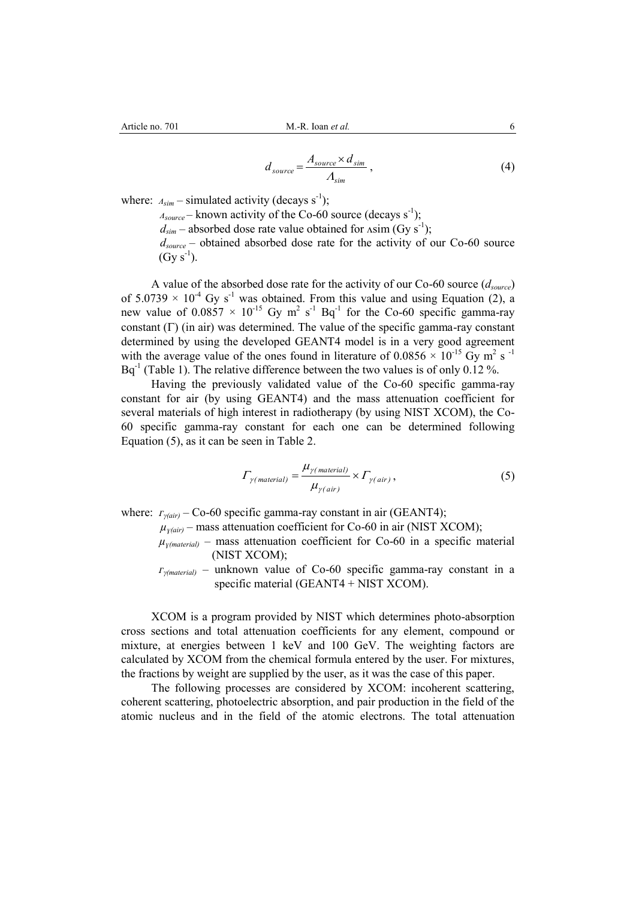$$
d_{source} = \frac{A_{source} \times d_{sim}}{A_{sim}}\,,\tag{4}
$$

where:  $A_{sim}$  – simulated activity (decays s<sup>-1</sup>);

 $A_{source}$  – known activity of the Co-60 source (decays s<sup>-1</sup>);  $d_{sim}$  – absorbed dose rate value obtained for  $\Lambda$ sim (Gy s<sup>-1</sup>); *dsource* – obtained absorbed dose rate for the activity of our Co-60 source  $(Gy s^{-1}).$ 

A value of the absorbed dose rate for the activity of our Co-60 source (*dsource*) of  $5.0739 \times 10^{-4}$  Gy s<sup>-1</sup> was obtained. From this value and using Equation (2), a new value of  $0.0857 \times 10^{-15}$  Gy m<sup>2</sup> s<sup>-1</sup> Bq<sup>-1</sup> for the Co-60 specific gamma-ray constant  $(\Gamma)$  (in air) was determined. The value of the specific gamma-ray constant determined by using the developed GEANT4 model is in a very good agreement with the average value of the ones found in literature of  $0.0856 \times 10^{-15}$  Gy m<sup>2</sup> s<sup>-1</sup>  $Bq^{-1}$  (Table 1). The relative difference between the two values is of only 0.12 %.

Having the previously validated value of the Co-60 specific gamma-ray constant for air (by using GEANT4) and the mass attenuation coefficient for several materials of high interest in radiotherapy (by using NIST XCOM), the Co-60 specific gamma-ray constant for each one can be determined following Equation (5), as it can be seen in Table 2.

$$
\Gamma_{\gamma(\text{material})} = \frac{\mu_{\gamma(\text{material})}}{\mu_{\gamma(\text{air})}} \times \Gamma_{\gamma(\text{air})},\tag{5}
$$

where:  $r_{\gamma(air)}$  − Co-60 specific gamma-ray constant in air (GEANT4);

 $\mu_{\gamma(air)}$  – mass attenuation coefficient for Co-60 in air (NIST XCOM);

- $\mu$ <sub>*y*(material)</sub> mass attenuation coefficient for Co-60 in a specific material</sub> (NIST XCOM);
- $F_{\gamma(material)}$  unknown value of Co-60 specific gamma-ray constant in a specific material (GEANT4 + NIST XCOM).

XCOM is a program provided by NIST which determines photo-absorption cross sections and total attenuation coefficients for any element, compound or mixture, at energies between 1 keV and 100 GeV. The weighting factors are calculated by XCOM from the chemical formula entered by the user. For mixtures, the fractions by weight are supplied by the user, as it was the case of this paper.

The following processes are considered by XCOM: incoherent scattering, coherent scattering, photoelectric absorption, and pair production in the field of the atomic nucleus and in the field of the atomic electrons. The total attenuation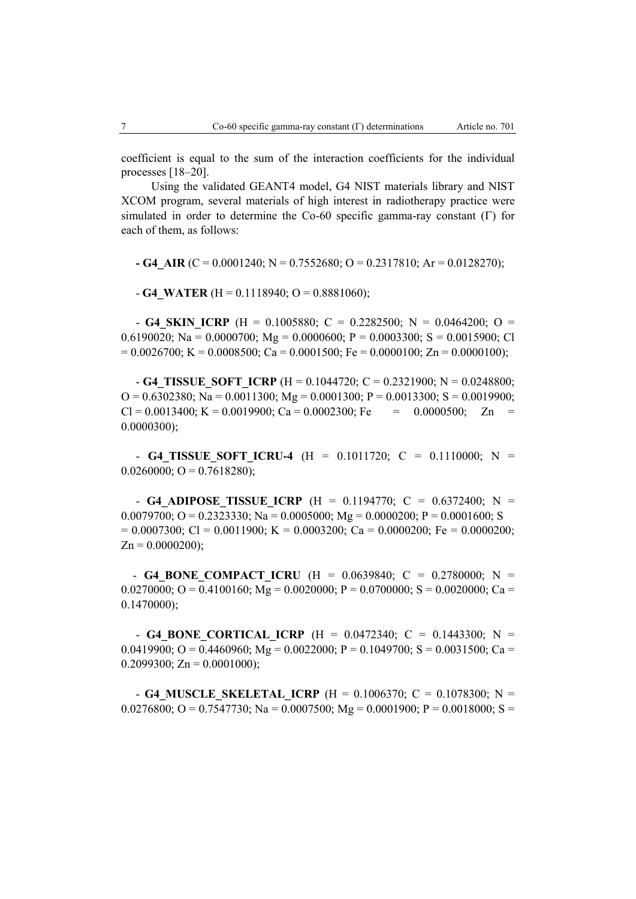coefficient is equal to the sum of the interaction coefficients for the individual processes [18–20].

Using the validated GEANT4 model, G4 NIST materials library and NIST XCOM program, several materials of high interest in radiotherapy practice were simulated in order to determine the Co-60 specific gamma-ray constant  $(\Gamma)$  for each of them, as follows:

 $-$  **G4** AIR (C = 0.0001240; N = 0.7552680; O = 0.2317810; Ar = 0.0128270);

 $- G4$  WATER (H = 0.1118940; O = 0.8881060);

- **G4 SKIN ICRP** (H = 0.1005880; C = 0.2282500; N = 0.0464200; O = 0.6190020; Na = 0.0000700; Mg = 0.0000600; P = 0.0003300; S = 0.0015900; Cl  $= 0.0026700$ ; K = 0.0008500; Ca = 0.0001500; Fe = 0.0000100; Zn = 0.0000100);

- **G4** TISSUE SOFT ICRP (H = 0.1044720; C = 0.2321900; N = 0.0248800;  $Q = 0.6302380$ ; Na = 0.0011300; Mg = 0.0001300; P = 0.0013300; S = 0.0019900;  $Cl = 0.0013400$ ; K = 0.0019900; Ca = 0.0002300; Fe = 0.0000500; Zn = 0.0000300);

- **G4 TISSUE SOFT ICRU-4** (H = 0.1011720; C = 0.1110000; N =  $0.0260000$ ; O = 0.7618280);

 - **G4\_ADIPOSE\_TISSUE\_ICRP** (H = 0.1194770; C = 0.6372400; N = 0.0079700; O = 0.2323330; Na = 0.0005000; Mg = 0.0000200; P = 0.0001600; S  $= 0.0007300$ ; Cl = 0.0011900; K = 0.0003200; Ca = 0.0000200; Fe = 0.0000200;  $Zn = 0.0000200$ ;

- **G4 BONE COMPACT ICRU** (H =  $0.0639840$ ; C =  $0.2780000$ ; N = 0.0270000; O = 0.4100160; Mg = 0.0020000; P = 0.0700000; S = 0.0020000; Ca = 0.1470000);

 - **G4\_BONE\_CORTICAL\_ICRP** (H = 0.0472340; C = 0.1443300; N = 0.0419900; O = 0.4460960; Mg = 0.0022000; P = 0.1049700; S = 0.0031500; Ca =  $0.2099300$ ; Zn =  $0.0001000$ );

- **G4 MUSCLE SKELETAL ICRP** (H = 0.1006370; C = 0.1078300; N = 0.0276800; O = 0.7547730; Na = 0.0007500; Mg = 0.0001900; P = 0.0018000; S =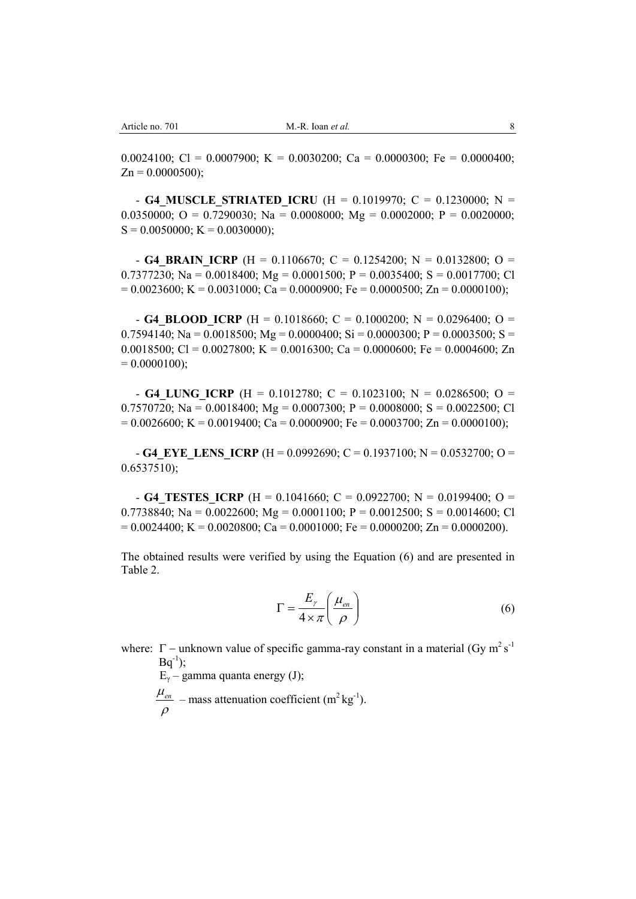0.0024100; Cl = 0.0007900; K = 0.0030200; Ca = 0.0000300; Fe = 0.0000400;  $Zn = 0.0000500$ ;

- **G4 MUSCLE STRIATED ICRU** (H = 0.1019970; C = 0.1230000; N = 0.0350000; O = 0.7290030; Na = 0.0008000; Mg = 0.0002000; P = 0.0020000;  $S = 0.0050000; K = 0.0030000;$ 

- **G4 BRAIN ICRP** (H = 0.1106670; C = 0.1254200; N = 0.0132800; O = 0.7377230; Na = 0.0018400; Mg = 0.0001500; P = 0.0035400; S = 0.0017700; Cl  $= 0.0023600$ ; K = 0.0031000; Ca = 0.0000900; Fe = 0.0000500; Zn = 0.0000100);

- **G4 BLOOD ICRP** (H = 0.1018660; C = 0.1000200; N = 0.0296400; O = 0.7594140; Na = 0.0018500; Mg = 0.0000400; Si = 0.0000300; P = 0.0003500; S = 0.0018500; Cl = 0.0027800; K = 0.0016300; Ca = 0.0000600; Fe = 0.0004600; Zn  $= 0.0000100$ ;

- **G4 LUNG ICRP** (H = 0.1012780; C = 0.1023100; N = 0.0286500; O = 0.7570720; Na = 0.0018400; Mg = 0.0007300; P = 0.0008000; S = 0.0022500; Cl  $= 0.0026600$ ; K  $= 0.0019400$ ; Ca  $= 0.0000900$ ; Fe  $= 0.0003700$ ; Zn  $= 0.0000100$ );

- **G4** EYE LENS ICRP (H = 0.0992690; C = 0.1937100; N = 0.0532700; O = 0.6537510);

- **G4 TESTES ICRP** (H = 0.1041660; C = 0.0922700; N = 0.0199400; O = 0.7738840; Na = 0.0022600; Mg = 0.0001100; P = 0.0012500; S = 0.0014600; Cl  $= 0.0024400$ ; K  $= 0.0020800$ ; Ca  $= 0.0001000$ ; Fe  $= 0.0000200$ ; Zn  $= 0.0000200$ ).

The obtained results were verified by using the Equation (6) and are presented in Table 2.

$$
\Gamma = \frac{E_{\gamma}}{4 \times \pi} \left( \frac{\mu_{en}}{\rho} \right) \tag{6}
$$

where:  $\Gamma$  – unknown value of specific gamma-ray constant in a material (Gy m<sup>2</sup> s<sup>-1</sup>)  $Bq^{-1}$ );

 $E_{\gamma}$  – gamma quanta energy (J);

 $\rho$  $\frac{\mu_{en}}{\mu_{en}}$  – mass attenuation coefficient (m<sup>2</sup> kg<sup>-1</sup>).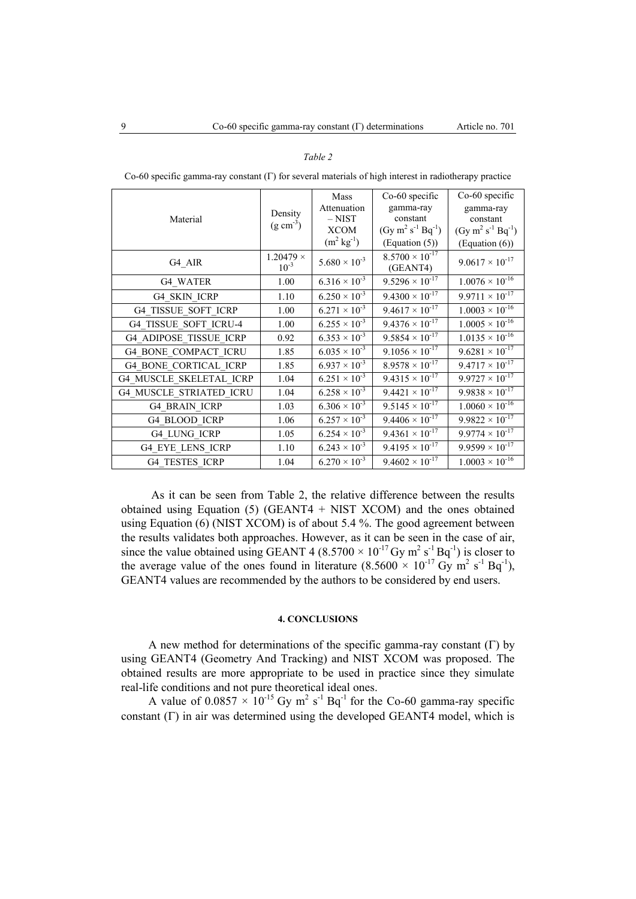| Material                       | Density<br>$(g \text{ cm}^{-3})$ | Mass<br>Attenuation<br>$-$ NIST<br><b>XCOM</b><br>$(m^2 \text{ kg}^{-1})$ | Co-60 specific<br>gamma-ray<br>constant<br>$(Gy \text{ m}^2 \text{ s}^{-1} \text{ Bq}^{-1})$<br>(Equation (5)) | Co-60 specific<br>gamma-ray<br>constant<br>$(Gy \, m^2 \, s^{-1} \, Bq^{-1})$<br>(Equation (6)) |
|--------------------------------|----------------------------------|---------------------------------------------------------------------------|----------------------------------------------------------------------------------------------------------------|-------------------------------------------------------------------------------------------------|
| G4 AIR                         | $1.20479 \times$<br>$10^{-3}$    | $5.680 \times 10^{-3}$                                                    | $8.5700 \times 10^{-17}$<br>(GEANT4)                                                                           | $9.0617 \times 10^{-17}$                                                                        |
| G4 WATER                       | 1.00                             | $6.316 \times 10^{-3}$                                                    | $9.5296 \times 10^{-17}$                                                                                       | $1.0076 \times 10^{-16}$                                                                        |
| <b>G4 SKIN ICRP</b>            | 1.10                             | $6.250 \times 10^{-3}$                                                    | $9.4300 \times 10^{-17}$                                                                                       | $9.9711 \times 10^{-17}$                                                                        |
| G4 TISSUE SOFT ICRP            | 1.00                             | $6.271 \times 10^{-3}$                                                    | $9.4617 \times 10^{-17}$                                                                                       | $1.0003 \times 10^{-16}$                                                                        |
| G4 TISSUE SOFT ICRU-4          | 1.00                             | $6.255 \times 10^{-3}$                                                    | $9.4376 \times 10^{-17}$                                                                                       | $1.0005 \times 10^{-16}$                                                                        |
| <b>G4 ADIPOSE TISSUE ICRP</b>  | 0.92                             | $6.353 \times 10^{-3}$                                                    | $9.5854 \times 10^{-17}$                                                                                       | $1.0135 \times 10^{-16}$                                                                        |
| <b>G4 BONE COMPACT ICRU</b>    | 1.85                             | $6.035 \times 10^{-3}$                                                    | $9.1056 \times 10^{-17}$                                                                                       | $9.6281 \times 10^{-17}$                                                                        |
| <b>G4 BONE CORTICAL ICRP</b>   | 1.85                             | $6.937 \times 10^{-3}$                                                    | $8.9578 \times 10^{-17}$                                                                                       | $9.4717 \times 10^{-17}$                                                                        |
| <b>G4_MUSCLE_SKELETAL ICRP</b> | 1.04                             | $6.251 \times 10^{-3}$                                                    | $9.4315 \times 10^{-17}$                                                                                       | $9.9727 \times 10^{-17}$                                                                        |
| <b>G4 MUSCLE STRIATED ICRU</b> | 1.04                             | $6.258 \times 10^{-3}$                                                    | $9.4421 \times 10^{-17}$                                                                                       | $9.9838 \times 10^{-17}$                                                                        |
| <b>G4 BRAIN ICRP</b>           | 1.03                             | $6.306 \times 10^{-3}$                                                    | $9.5145 \times 10^{-17}$                                                                                       | $1.0060 \times 10^{-16}$                                                                        |
| G4 BLOOD ICRP                  | 1.06                             | $6.257 \times 10^{-3}$                                                    | $9.4406 \times 10^{-17}$                                                                                       | $9.9822 \times 10^{-17}$                                                                        |
| G4 LUNG ICRP                   | 1.05                             | $6.254 \times 10^{-3}$                                                    | $9.4361 \times 10^{-17}$                                                                                       | $9.9774 \times 10^{-17}$                                                                        |
| <b>G4 EYE LENS ICRP</b>        | 1.10                             | $6.243 \times 10^{-3}$                                                    | $9.4195 \times 10^{-17}$                                                                                       | $9.9599 \times 10^{-17}$                                                                        |
| <b>G4 TESTES ICRP</b>          | 1.04                             | $6.270 \times 10^{-3}$                                                    | $9.4602 \times 10^{-17}$                                                                                       | $1.0003 \times 10^{-16}$                                                                        |

Co-60 specific gamma-ray constant  $(\Gamma)$  for several materials of high interest in radiotherapy practice

*Table 2*

As it can be seen from Table 2, the relative difference between the results obtained using Equation  $(5)$  (GEANT4 + NIST XCOM) and the ones obtained using Equation (6) (NIST XCOM) is of about 5.4 %. The good agreement between the results validates both approaches. However, as it can be seen in the case of air, since the value obtained using GEANT 4 (8.5700  $\times$  10<sup>-17</sup> Gy m<sup>2</sup> s<sup>-1</sup> Bq<sup>-1</sup>) is closer to the average value of the ones found in literature  $(8.5600 \times 10^{-17} \text{ Gy m}^2 \text{ s}^{-1} \text{ Bq}^{-1})$ , GEANT4 values are recommended by the authors to be considered by end users.

# **4. CONCLUSIONS**

A new method for determinations of the specific gamma-ray constant  $(\Gamma)$  by using GEANT4 (Geometry And Tracking) and NIST XCOM was proposed. The obtained results are more appropriate to be used in practice since they simulate real-life conditions and not pure theoretical ideal ones.

A value of  $0.0857 \times 10^{-15}$  Gy m<sup>2</sup> s<sup>-1</sup> Bq<sup>-1</sup> for the Co-60 gamma-ray specific constant  $(\Gamma)$  in air was determined using the developed GEANT4 model, which is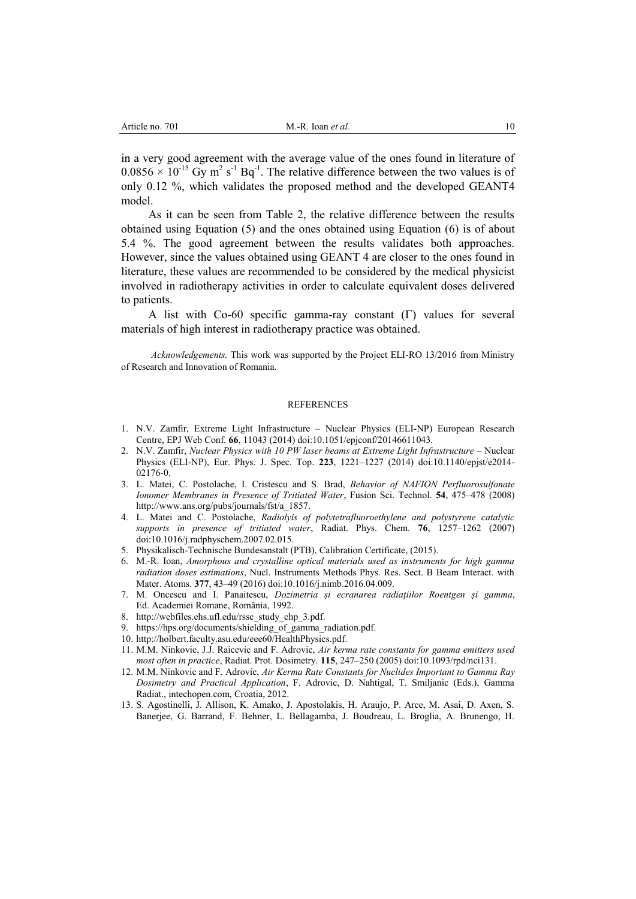in a very good agreement with the average value of the ones found in literature of  $0.0856 \times 10^{-15}$  Gy m<sup>2</sup> s<sup>-1</sup> Bq<sup>-1</sup>. The relative difference between the two values is of only 0.12 %, which validates the proposed method and the developed GEANT4 model.

As it can be seen from Table 2, the relative difference between the results obtained using Equation (5) and the ones obtained using Equation (6) is of about 5.4 %. The good agreement between the results validates both approaches. However, since the values obtained using GEANT 4 are closer to the ones found in literature, these values are recommended to be considered by the medical physicist involved in radiotherapy activities in order to calculate equivalent doses delivered to patients.

A list with Co-60 specific gamma-ray constant  $(\Gamma)$  values for several materials of high interest in radiotherapy practice was obtained.

*Acknowledgements.* This work was supported by the Project ELI-RO 13/2016 from Ministry of Research and Innovation of Romania.

#### **REFERENCES**

- 1. N.V. Zamfir, Extreme Light Infrastructure Nuclear Physics (ELI-NP) European Research Centre, EPJ Web Conf. **66**, 11043 (2014) doi:10.1051/epjconf/20146611043.
- 2. N.V. Zamfir, *Nuclear Physics with 10 PW laser beams at Extreme Light Infrastructure* Nuclear Physics (ELI-NP), Eur. Phys. J. Spec. Top. **223**, 1221–1227 (2014) doi:10.1140/epjst/e2014- 02176-0.
- 3. L. Matei, C. Postolache, I. Cristescu and S. Brad, *Behavior of NAFION Perfluorosulfonate Ionomer Membranes in Presence of Tritiated Water*, Fusion Sci. Technol. **54**, 475–478 (2008) [http://www.ans.org/pubs/journals/fst/a\\_1857.](http://www.ans.org/pubs/journals/fst/a_1857)
- 4. L. Matei and C. Postolache, *Radiolyis of polytetrafluoroethylene and polystyrene catalytic supports in presence of tritiated water*, Radiat. Phys. Chem. **76**, 1257–1262 (2007) doi:10.1016/j.radphyschem.2007.02.015.
- 5. Physikalisch-Technische Bundesanstalt (PTB), Calibration Certificate, (2015).
- 6. M.-R. Ioan, *Amorphous and crystalline optical materials used as instruments for high gamma radiation doses estimations*, Nucl. Instruments Methods Phys. Res. Sect. B Beam Interact. with Mater. Atoms. **377**, 43–49 (2016) doi:10.1016/j.nimb.2016.04.009.
- 7. M. Oncescu and I. Panaitescu, *Dozimetria și ecranarea radiațiilor Roentgen și gamma*, Ed. Academiei Romane, România, 1992.
- 8. [http://webfiles.ehs.ufl.edu/rssc\\_study\\_chp\\_3.pdf.](http://webfiles.ehs.ufl.edu/rssc_study_chp_3.pdf)
- 9. [https://hps.org/documents/shielding\\_of\\_gamma\\_radiation.pdf.](https://hps.org/documents/shielding_of_gamma_radiation.pdf)
- 10. [http://holbert.faculty.asu.edu/eee60/HealthPhysics.pdf.](http://holbert.faculty.asu.edu/eee60/HealthPhysics.pdf)
- 11. M.M. Ninkovic, J.J. Raicevic and F. Adrovic, *Air kerma rate constants for gamma emitters used most often in practice*, Radiat. Prot. Dosimetry. **115**, 247–250 (2005) doi:10.1093/rpd/nci131.
- 12. M.M. Ninkovic and F. Adrovic, *Air Kerma Rate Constants for Nuclides Important to Gamma Ray Dosimetry and Practical Application*, F. Adrovic, D. Nahtigal, T. Smiljanic (Eds.), Gamma Radiat., intechopen.com, Croatia, 2012.
- 13. S. Agostinelli, J. Allison, K. Amako, J. Apostolakis, H. Araujo, P. Arce, M. Asai, D. Axen, S. Banerjee, G. Barrand, F. Behner, L. Bellagamba, J. Boudreau, L. Broglia, A. Brunengo, H.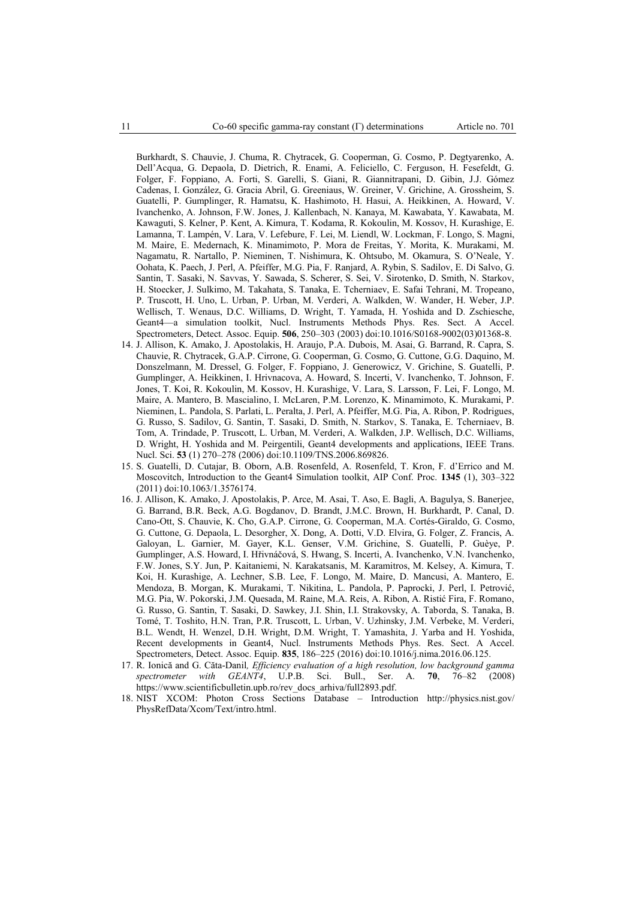Burkhardt, S. Chauvie, J. Chuma, R. Chytracek, G. Cooperman, G. Cosmo, P. Degtyarenko, A. Dell'Acqua, G. Depaola, D. Dietrich, R. Enami, A. Feliciello, C. Ferguson, H. Fesefeldt, G. Folger, F. Foppiano, A. Forti, S. Garelli, S. Giani, R. Giannitrapani, D. Gibin, J.J. Gómez Cadenas, I. González, G. Gracia Abril, G. Greeniaus, W. Greiner, V. Grichine, A. Grossheim, S. Guatelli, P. Gumplinger, R. Hamatsu, K. Hashimoto, H. Hasui, A. Heikkinen, A. Howard, V. Ivanchenko, A. Johnson, F.W. Jones, J. Kallenbach, N. Kanaya, M. Kawabata, Y. Kawabata, M. Kawaguti, S. Kelner, P. Kent, A. Kimura, T. Kodama, R. Kokoulin, M. Kossov, H. Kurashige, E. Lamanna, T. Lampén, V. Lara, V. Lefebure, F. Lei, M. Liendl, W. Lockman, F. Longo, S. Magni, M. Maire, E. Medernach, K. Minamimoto, P. Mora de Freitas, Y. Morita, K. Murakami, M. Nagamatu, R. Nartallo, P. Nieminen, T. Nishimura, K. Ohtsubo, M. Okamura, S. O'Neale, Y. Oohata, K. Paech, J. Perl, A. Pfeiffer, M.G. Pia, F. Ranjard, A. Rybin, S. Sadilov, E. Di Salvo, G. Santin, T. Sasaki, N. Savvas, Y. Sawada, S. Scherer, S. Sei, V. Sirotenko, D. Smith, N. Starkov, H. Stoecker, J. Sulkimo, M. Takahata, S. Tanaka, E. Tcherniaev, E. Safai Tehrani, M. Tropeano, P. Truscott, H. Uno, L. Urban, P. Urban, M. Verderi, A. Walkden, W. Wander, H. Weber, J.P. Wellisch, T. Wenaus, D.C. Williams, D. Wright, T. Yamada, H. Yoshida and D. Zschiesche, Geant4—a simulation toolkit, Nucl. Instruments Methods Phys. Res. Sect. A Accel. Spectrometers, Detect. Assoc. Equip. **506**, 250–303 (2003) doi:10.1016/S0168-9002(03)01368-8.

- 14. J. Allison, K. Amako, J. Apostolakis, H. Araujo, P.A. Dubois, M. Asai, G. Barrand, R. Capra, S. Chauvie, R. Chytracek, G.A.P. Cirrone, G. Cooperman, G. Cosmo, G. Cuttone, G.G. Daquino, M. Donszelmann, M. Dressel, G. Folger, F. Foppiano, J. Generowicz, V. Grichine, S. Guatelli, P. Gumplinger, A. Heikkinen, I. Hrivnacova, A. Howard, S. Incerti, V. Ivanchenko, T. Johnson, F. Jones, T. Koi, R. Kokoulin, M. Kossov, H. Kurashige, V. Lara, S. Larsson, F. Lei, F. Longo, M. Maire, A. Mantero, B. Mascialino, I. McLaren, P.M. Lorenzo, K. Minamimoto, K. Murakami, P. Nieminen, L. Pandola, S. Parlati, L. Peralta, J. Perl, A. Pfeiffer, M.G. Pia, A. Ribon, P. Rodrigues, G. Russo, S. Sadilov, G. Santin, T. Sasaki, D. Smith, N. Starkov, S. Tanaka, E. Tcherniaev, B. Tom, A. Trindade, P. Truscott, L. Urban, M. Verderi, A. Walkden, J.P. Wellisch, D.C. Williams, D. Wright, H. Yoshida and M. Peirgentili, Geant4 developments and applications, IEEE Trans. Nucl. Sci. **53** (1) 270–278 (2006) doi:10.1109/TNS.2006.869826.
- 15. S. Guatelli, D. Cutajar, B. Oborn, A.B. Rosenfeld, A. Rosenfeld, T. Kron, F. d'Errico and M. Moscovitch, Introduction to the Geant4 Simulation toolkit, AIP Conf. Proc. **1345** (1), 303–322 (2011) doi:10.1063/1.3576174.
- 16. J. Allison, K. Amako, J. Apostolakis, P. Arce, M. Asai, T. Aso, E. Bagli, A. Bagulya, S. Banerjee, G. Barrand, B.R. Beck, A.G. Bogdanov, D. Brandt, J.M.C. Brown, H. Burkhardt, P. Canal, D. Cano-Ott, S. Chauvie, K. Cho, G.A.P. Cirrone, G. Cooperman, M.A. Cortés-Giraldo, G. Cosmo, G. Cuttone, G. Depaola, L. Desorgher, X. Dong, A. Dotti, V.D. Elvira, G. Folger, Z. Francis, A. Galoyan, L. Garnier, M. Gayer, K.L. Genser, V.M. Grichine, S. Guatelli, P. Guèye, P. Gumplinger, A.S. Howard, I. Hřivnáčová, S. Hwang, S. Incerti, A. Ivanchenko, V.N. Ivanchenko, F.W. Jones, S.Y. Jun, P. Kaitaniemi, N. Karakatsanis, M. Karamitros, M. Kelsey, A. Kimura, T. Koi, H. Kurashige, A. Lechner, S.B. Lee, F. Longo, M. Maire, D. Mancusi, A. Mantero, E. Mendoza, B. Morgan, K. Murakami, T. Nikitina, L. Pandola, P. Paprocki, J. Perl, I. Petrović, M.G. Pia, W. Pokorski, J.M. Quesada, M. Raine, M.A. Reis, A. Ribon, A. Ristić Fira, F. Romano, G. Russo, G. Santin, T. Sasaki, D. Sawkey, J.I. Shin, I.I. Strakovsky, A. Taborda, S. Tanaka, B. Tomé, T. Toshito, H.N. Tran, P.R. Truscott, L. Urban, V. Uzhinsky, J.M. Verbeke, M. Verderi, B.L. Wendt, H. Wenzel, D.H. Wright, D.M. Wright, T. Yamashita, J. Yarba and H. Yoshida, Recent developments in Geant4, Nucl. Instruments Methods Phys. Res. Sect. A Accel. Spectrometers, Detect. Assoc. Equip. **835**, 186–225 (2016) doi:10.1016/j.nima.2016.06.125.
- 17. R. Ionică and G. Căta-Danil*, Efficiency evaluation of a high resolution, low background gamma spectrometer with GEANT4*, U.P.B. Sci. Bull., Ser. A. **70**, 76–82 (2008) [https://www.scientificbulletin.upb.ro/rev\\_docs\\_arhiva/full2893.pdf.](https://www.scientificbulletin.upb.ro/rev_docs_arhiva/full2893.pdf)
- 18. NIST XCOM: Photon Cross Sections Database Introduction [http://physics.nist.gov/](http://physics.nist.gov/%0bPhysRefData/Xcom/Text/intro.html) [PhysRefData/Xcom/Text/intro.html.](http://physics.nist.gov/%0bPhysRefData/Xcom/Text/intro.html)